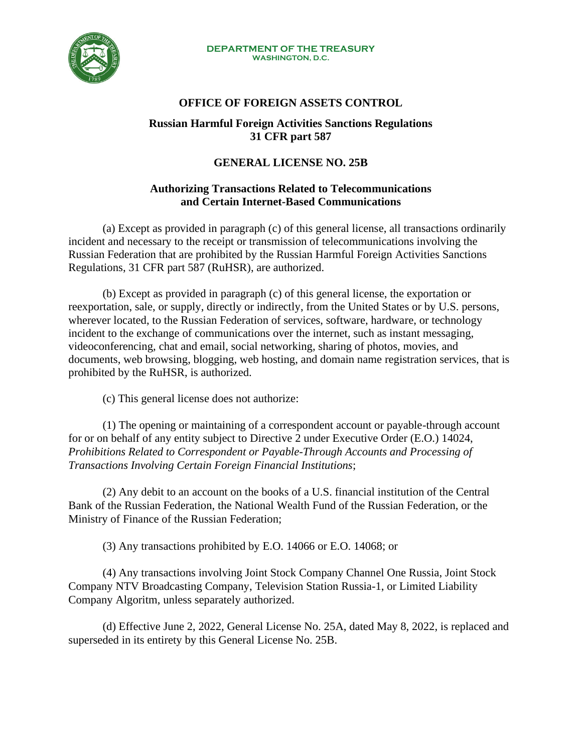

#### **DEPARTMENT OF THE TREASURY WASHINGTON, D.C.**

# **OFFICE OF FOREIGN ASSETS CONTROL**

### **Russian Harmful Foreign Activities Sanctions Regulations 31 CFR part 587**

# **GENERAL LICENSE NO. 25B**

## **Authorizing Transactions Related to Telecommunications and Certain Internet-Based Communications**

(a) Except as provided in paragraph (c) of this general license, all transactions ordinarily incident and necessary to the receipt or transmission of telecommunications involving the Russian Federation that are prohibited by the Russian Harmful Foreign Activities Sanctions Regulations, 31 CFR part 587 (RuHSR), are authorized.

(b) Except as provided in paragraph (c) of this general license, the exportation or reexportation, sale, or supply, directly or indirectly, from the United States or by U.S. persons, wherever located, to the Russian Federation of services, software, hardware, or technology incident to the exchange of communications over the internet, such as instant messaging, videoconferencing, chat and email, social networking, sharing of photos, movies, and documents, web browsing, blogging, web hosting, and domain name registration services, that is prohibited by the RuHSR, is authorized.

(c) This general license does not authorize:

(1) The opening or maintaining of a correspondent account or payable-through account for or on behalf of any entity subject to Directive 2 under Executive Order (E.O.) 14024, *Prohibitions Related to Correspondent or Payable-Through Accounts and Processing of Transactions Involving Certain Foreign Financial Institutions*;

(2) Any debit to an account on the books of a U.S. financial institution of the Central Bank of the Russian Federation, the National Wealth Fund of the Russian Federation, or the Ministry of Finance of the Russian Federation;

(3) Any transactions prohibited by E.O. 14066 or E.O. 14068; or

(4) Any transactions involving Joint Stock Company Channel One Russia, Joint Stock Company NTV Broadcasting Company, Television Station Russia-1, or Limited Liability Company Algoritm, unless separately authorized.

(d) Effective June 2, 2022, General License No. 25A, dated May 8, 2022, is replaced and superseded in its entirety by this General License No. 25B.